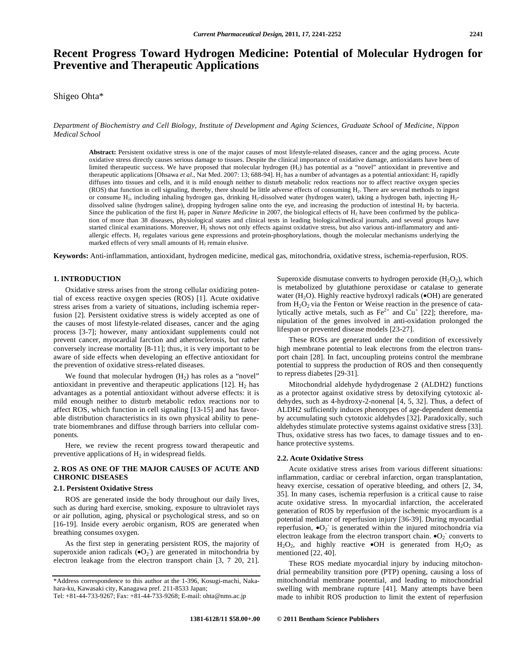# **Recent Progress Toward Hydrogen Medicine: Potential of Molecular Hydrogen for Preventive and Therapeutic Applications**

Shigeo Ohta\*

*Department of Biochemistry and Cell Biology, Institute of Development and Aging Sciences, Graduate School of Medicine, Nippon Medical School* 

**Abstract:** Persistent oxidative stress is one of the major causes of most lifestyle-related diseases, cancer and the aging process. Acute oxidative stress directly causes serious damage to tissues. Despite the clinical importance of oxidative damage, antioxidants have been of limited therapeutic success. We have proposed that molecular hydrogen (H<sub>2</sub>) has potential as a "novel" antioxidant in preventive and therapeutic applications [Ohsawa *et al.*, Nat Med. 2007: 13; 688-94]. H<sub>2</sub> has a number of advantages as a potential antioxidant: H<sub>2</sub> rapidly diffuses into tissues and cells, and it is mild enough neither to disturb metabolic redox reactions nor to affect reactive oxygen species (ROS) that function in cell signaling, thereby, there should be little adverse effects of consuming H2. There are several methods to ingest or consume H<sub>2</sub>, including inhaling hydrogen gas, drinking H<sub>2</sub>-dissolved water (hydrogen water), taking a hydrogen bath, injecting H<sub>2</sub>dissolved saline (hydrogen saline), dropping hydrogen saline onto the eye, and increasing the production of intestinal H<sub>2</sub> by bacteria. Since the publication of the first H<sub>2</sub> paper in *Nature Medicine* in 2007, the biological effects of H<sub>2</sub> have been confirmed by the publication of more than 38 diseases, physiological states and clinical tests in leading biological/medical journals, and several groups have started clinical examinations. Moreover, H<sub>2</sub> shows not only effects against oxidative stress, but also various anti-inflammatory and antiallergic effects. H<sub>2</sub> regulates various gene expressions and protein-phosphorylations, though the molecular mechanisms underlying the marked effects of very small amounts of  $H_2$  remain elusive.

**Keywords:** Anti-inflammation, antioxidant, hydrogen medicine, medical gas, mitochondria, oxidative stress, ischemia-reperfusion, ROS.

## **1. INTRODUCTION**

 Oxidative stress arises from the strong cellular oxidizing potential of excess reactive oxygen species (ROS) [1]. Acute oxidative stress arises from a variety of situations, including ischemia reperfusion [2]. Persistent oxidative stress is widely accepted as one of the causes of most lifestyle-related diseases, cancer and the aging process [3-7]; however, many antioxidant supplements could not prevent cancer, myocardial farction and atherosclerosis, but rather conversely increase mortality [8-11]; thus, it is very important to be aware of side effects when developing an effective antioxidant for the prevention of oxidative stress-related diseases.

We found that molecular hydrogen  $(H<sub>2</sub>)$  has roles as a "novel" antioxidant in preventive and therapeutic applications [12].  $H_2$  has advantages as a potential antioxidant without adverse effects: it is mild enough neither to disturb metabolic redox reactions nor to affect ROS, which function in cell signaling [13-15] and has favorable distribution characteristics in its own physical ability to penetrate biomembranes and diffuse through barriers into cellular components.

 Here, we review the recent progress toward therapeutic and preventive applications of  $H_2$  in widespread fields.

## **2. ROS AS ONE OF THE MAJOR CAUSES OF ACUTE AND CHRONIC DISEASES**

## **2.1. Persistent Oxidative Stress**

 ROS are generated inside the body throughout our daily lives, such as during hard exercise, smoking, exposure to ultraviolet rays or air pollution, aging, physical or psychological stress, and so on [16-19]. Inside every aerobic organism, ROS are generated when breathing consumes oxygen.

 As the first step in generating persistent ROS, the majority of superoxide anion radicals  $(\bullet O_2)$  are generated in mitochondria by electron leakage from the electron transport chain [3, 7 20, 21].

Superoxide dismutase converts to hydrogen peroxide  $(H_2O_2)$ , which is metabolized by glutathione peroxidase or catalase to generate water (H<sub>2</sub>O). Highly reactive hydroxyl radicals  $\bullet$ OH) are generated from  $H_2O_2$  via the Fenton or Weise reaction in the presence of catalytically active metals, such as  $\text{Fe}^{2+}$  and  $\text{Cu}^{+}$  [22]; therefore, manipulation of the genes involved in anti-oxidation prolonged the lifespan or prevented disease models [23-27].

 These ROSs are generated under the condition of excessively high membrane potential to leak electrons from the electron transport chain [28]. In fact, uncoupling proteins control the membrane potential to suppress the production of ROS and then consequently to repress diabetes [29-31].

 Mitochondrial aldehyde hydydrogenase 2 (ALDH2) functions as a protector against oxidative stress by detoxifying cytotoxic aldehydes, such as 4-hydroxy-2-nonenal [4, 5, 32]. Thus, a defect of ALDH2 sufficiently induces phenotypes of age-dependent dementia by accumulating such cytotoxic aldehydes [32]. Paradoxically, such aldehydes stimulate protective systems against oxidative stress [33]. Thus, oxidative stress has two faces, to damage tissues and to enhance protective systems.

#### **2.2. Acute Oxidative Stress**

 Acute oxidative stress arises from various different situations: inflammation, cardiac or cerebral infarction, organ transplantation, heavy exercise, cessation of operative bleeding, and others [2, 34, 35]. In many cases, ischemia reperfusion is a critical cause to raise acute oxidative stress. In myocardial infarction, the accelerated generation of ROS by reperfusion of the ischemic myocardium is a potential mediator of reperfusion injury [36-39]. During myocardial reperfusion,  $\bullet O_2$  is generated within the injured mitochondria via electron leakage from the electron transport chain.  $\bullet$ O<sub>2</sub> converts to  $H_2O_2$ , and highly reactive  $\bullet$ OH is generated from  $H_2O_2$  as mentioned [22, 40].

 These ROS mediate myocardial injury by inducing mitochondrial permeability transition pore (PTP) opening, causing a loss of mitochondrial membrane potential, and leading to mitochondrial swelling with membrane rupture [41]. Many attempts have been made to inhibit ROS production to limit the extent of reperfusion

<sup>\*</sup>Address correspondence to this author at the 1-396, Kosugi-machi, Nakahara-ku, Kawasaki city, Kanagawa pref. 211-8533 Japan;

Tel: +81-44-733-9267; Fax: +81-44-733-9268; E-mail: ohta@nms.ac.jp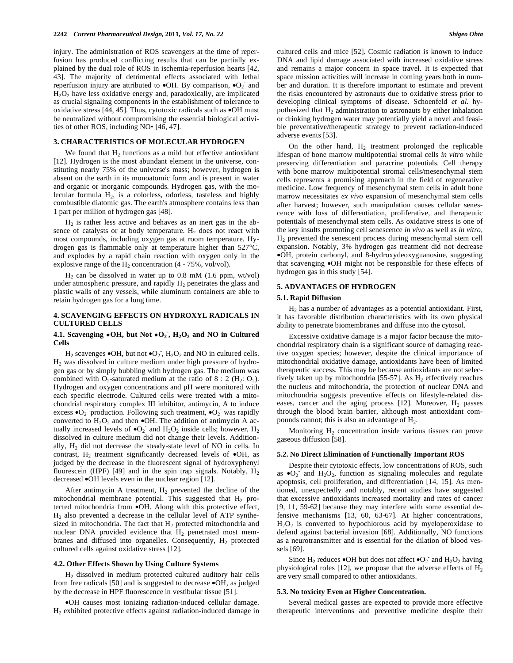injury. The administration of ROS scavengers at the time of reperfusion has produced conflicting results that can be partially explained by the dual role of ROS in ischemia-reperfusion hearts [42, 43]. The majority of detrimental effects associated with lethal reperfusion injury are attributed to  $\bullet$ OH. By comparison,  $\bullet$ O<sub>2</sub> and  $H<sub>2</sub>O<sub>2</sub>$  have less oxidative energy and, paradoxically, are implicated as crucial signaling components in the establishment of tolerance to oxidative stress [44, 45]. Thus, cytotoxic radicals such as •OH must be neutralized without compromising the essential biological activities of other ROS, including NO• [46, 47].

## **3. CHARACTERISTICS OF MOLECULAR HYDROGEN**

We found that  $H_2$  functions as a mild but effective antioxidant [12]. Hydrogen is the most abundant element in the universe, constituting nearly 75% of the universe's mass; however, hydrogen is absent on the earth in its monoatomic form and is present in water and organic or inorganic compounds. Hydrogen gas, with the molecular formula  $H_2$ , is a colorless, odorless, tasteless and highly combustible diatomic gas. The earth's atmosphere contains less than 1 part per million of hydrogen gas [48].

 $H<sub>2</sub>$  is rather less active and behaves as an inert gas in the absence of catalysts or at body temperature.  $H_2$  does not react with most compounds, including oxygen gas at room temperature. Hydrogen gas is flammable only at temperature higher than 527°C, and explodes by a rapid chain reaction with oxygen only in the explosive range of the  $H_2$  concentration (4 - 75%, vol/vol).

 $H<sub>2</sub>$  can be dissolved in water up to 0.8 mM (1.6 ppm, wt/vol) under atmospheric pressure, and rapidly  $H_2$  penetrates the glass and plastic walls of any vessels, while aluminum containers are able to retain hydrogen gas for a long time.

### **4. SCAVENGING EFFECTS ON HYDROXYL RADICALS IN CULTURED CELLS**

## **4.1.** Scavenging  $\bullet$  OH, but Not  $\bullet$  O<sub>2</sub><sup> $\cdot$ </sup>, H<sub>2</sub>O<sub>2</sub> and NO in Cultured **Cells**

 $H_2$  scavenges  $\bullet$ OH, but not  $\bullet$ O<sub>2</sub>,  $H_2O_2$  and NO in cultured cells. H2 was dissolved in culture medium under high pressure of hydrogen gas or by simply bubbling with hydrogen gas. The medium was combined with O<sub>2</sub>-saturated medium at the ratio of  $8:2 \times (H_2; O_2)$ . Hydrogen and oxygen concentrations and pH were monitored with each specific electrode. Cultured cells were treated with a mitochondrial respiratory complex III inhibitor, antimycin, A to induce excess  $\bullet$ O<sub>2</sub> production. Following such treatment,  $\bullet$ O<sub>2</sub> was rapidly converted to  $H_2O_2$  and then  $\bullet$ OH. The addition of antimycin A actually increased levels of  $\bullet$ O<sub>2</sub> and H<sub>2</sub>O<sub>2</sub> inside cells; however, H<sub>2</sub> dissolved in culture medium did not change their levels. Additionally, H2 did not decrease the steady-state level of NO in cells. In contrast,  $H_2$  treatment significantly decreased levels of  $\bullet$ OH, as judged by the decrease in the fluorescent signal of hydroxyphenyl fluorescein (HPF) [49] and in the spin trap signals. Notably,  $H_2$ decreased •OH levels even in the nuclear region [12].

After antimycin A treatment,  $H_2$  prevented the decline of the mitochondrial membrane potential. This suggested that  $H_2$  protected mitochondria from •OH. Along with this protective effect, H2 also prevented a decrease in the cellular level of ATP synthesized in mitochondria. The fact that  $H_2$  protected mitochondria and nuclear DNA provided evidence that  $H_2$  penetrated most membranes and diffused into organelles. Consequently,  $H_2$  protected cultured cells against oxidative stress [12].

#### **4.2. Other Effects Shown by Using Culture Systems**

 H2 dissolved in medium protected cultured auditory hair cells from free radicals [50] and is suggested to decrease •OH, as judged by the decrease in HPF fluorescence in vestibular tissue [51].

•OH causes most ionizing radiation-induced cellular damage. H2 exhibited protective effects against radiation-induced damage in cultured cells and mice [52]. Cosmic radiation is known to induce DNA and lipid damage associated with increased oxidative stress and remains a major concern in space travel. It is expected that space mission activities will increase in coming years both in number and duration. It is therefore important to estimate and prevent the risks encountered by astronauts due to oxidative stress prior to developing clinical symptoms of disease. Schoenfeld *et al*. hypothesized that  $H_2$  administration to astronauts by either inhalation or drinking hydrogen water may potentially yield a novel and feasible preventative/therapeutic strategy to prevent radiation-induced adverse events [53].

On the other hand,  $H_2$  treatment prolonged the replicable lifespan of bone marrow multipotential stromal cells *in vitro* while preserving differentiation and paracrine potentials. Cell therapy with bone marrow multipotential stromal cells/mesenchymal stem cells represents a promising approach in the field of regenerative medicine. Low frequency of mesenchymal stem cells in adult bone marrow necessitates *ex vivo* expansion of mesenchymal stem cells after harvest; however, such manipulation causes cellular senescence with loss of differentiation, proliferative, and therapeutic potentials of mesenchymal stem cells. As oxidative stress is one of the key insults promoting cell senescence *in vivo* as well as *in vitro*, H2 prevented the senescent process during mesenchymal stem cell expansion. Notably, 3% hydrogen gas treatment did not decrease •OH, protein carbonyl, and 8-hydroxydeoxyguanosine, suggesting that scavenging •OH might not be responsible for these effects of hydrogen gas in this study [54].

#### **5. ADVANTAGES OF HYDROGEN**

#### **5.1. Rapid Diffusion**

 H2 has a number of advantages as a potential antioxidant. First, it has favorable distribution characteristics with its own physical ability to penetrate biomembranes and diffuse into the cytosol.

 Excessive oxidative damage is a major factor because the mitochondrial respiratory chain is a significant source of damaging reactive oxygen species; however, despite the clinical importance of mitochondrial oxidative damage, antioxidants have been of limited therapeutic success. This may be because antioxidants are not selectively taken up by mitochondria [55-57]. As  $H_2$  effectively reaches the nucleus and mitochondria, the protection of nuclear DNA and mitochondria suggests preventive effects on lifestyle-related diseases, cancer and the aging process  $[12]$ . Moreover,  $H_2$  passes through the blood brain barrier, although most antioxidant compounds cannot; this is also an advantage of  $H<sub>2</sub>$ .

Monitoring  $H<sub>2</sub>$  concentration inside various tissues can prove gaseous diffusion [58].

#### **5.2. No Direct Elimination of Functionally Important ROS**

 Despite their cytotoxic effects, low concentrations of ROS, such as  $\bullet$ O<sub>2</sub> and H<sub>2</sub>O<sub>2</sub>, function as signaling molecules and regulate apoptosis, cell proliferation, and differentiation [14, 15]. As mentioned, unexpectedly and notably, recent studies have suggested that excessive antioxidants increased mortality and rates of cancer [9, 11, 59-62] because they may interfere with some essential defensive mechanisms [13, 60, 63-67]. At higher concentrations,  $H<sub>2</sub>O<sub>2</sub>$  is converted to hypochlorous acid by myeloperoxidase to defend against bacterial invasion [68]. Additionally, NO functions as a neurotransmitter and is essential for the dilation of blood vessels [69].

Since  $H_2$  reduces  $\bullet$ OH but does not affect  $\bullet$ O<sub>2</sub><sup>-</sup> and  $H_2O_2$  having physiological roles [12], we propose that the adverse effects of  $H_2$ are very small compared to other antioxidants.

#### **5.3. No toxicity Even at Higher Concentration.**

 Several medical gasses are expected to provide more effective therapeutic interventions and preventive medicine despite their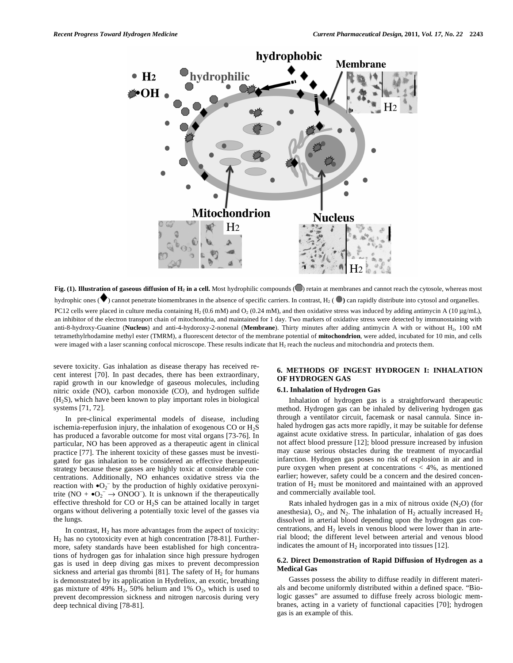

**Fig. (1). Illustration of gaseous diffusion of H<sub>2</sub> in a cell.** Most hydrophilic compounds (**C**) retain at membranes and cannot reach the cytosole, whereas most hydrophic ones ( $\blacktriangledown$ ) cannot penetrate biomembranes in the absence of specific carriers. In contrast, H<sub>2</sub> ( $\blacktriangledown$ ) can rapidly distribute into cytosol and organelles. PC12 cells were placed in culture media containing H<sub>2</sub> (0.6 mM) and O<sub>2</sub> (0.24 mM), and then oxidative stress was induced by adding antimycin A (10 µg/mL), an inhibitor of the electron transport chain of mitochondria, and maintained for 1 day. Two markers of oxidative stress were detected by immunostaining with anti-8-hydroxy-Guanine (**Nucleus**) and anti-4-hydoroxy-2-nonenal (**Membrane**). Thirty minutes after adding antimycin A with or without H2, 100 nM tetramethylrhodamine methyl ester (TMRM), a fluorescent detector of the membrane potential of **mitochondrion**, were added, incubated for 10 min, and cells were imaged with a laser scanning confocal microscope. These results indicate that  $H_2$  reach the nucleus and mitochondria and protects them.

severe toxicity. Gas inhalation as disease therapy has received recent interest [70]. In past decades, there has been extraordinary, rapid growth in our knowledge of gaseous molecules, including nitric oxide (NO), carbon monoxide (CO), and hydrogen sulfide (H2S), which have been known to play important roles in biological systems [71, 72].

 In pre-clinical experimental models of disease, including ischemia-reperfusion injury, the inhalation of exogenous CO or  $H_2S$ has produced a favorable outcome for most vital organs [73-76]. In particular, NO has been approved as a therapeutic agent in clinical practice [77]. The inherent toxicity of these gasses must be investigated for gas inhalation to be considered an effective therapeutic strategy because these gasses are highly toxic at considerable concentrations. Additionally, NO enhances oxidative stress via the reaction with  $\bullet$ O<sub>2</sub><sup>-</sup> by the production of highly oxidative peroxynitrite (NO +  $\bullet$ O<sub>2</sub><sup>-</sup>  $\rightarrow$  ONOO<sup>-</sup>). It is unknown if the therapeutically effective threshold for CO or  $H_2S$  can be attained locally in target organs without delivering a potentially toxic level of the gasses via the lungs.

In contrast,  $H_2$  has more advantages from the aspect of toxicity: H2 has no cytotoxicity even at high concentration [78-81]. Furthermore, safety standards have been established for high concentrations of hydrogen gas for inhalation since high pressure hydrogen gas is used in deep diving gas mixes to prevent decompression sickness and arterial gas thrombi [81]. The safety of  $H_2$  for humans is demonstrated by its application in Hydreliox, an exotic, breathing gas mixture of 49%  $H_2$ , 50% helium and 1%  $O_2$ , which is used to prevent decompression sickness and nitrogen narcosis during very deep technical diving [78-81].

## **6. METHODS OF INGEST HYDROGEN I: INHALATION OF HYDROGEN GAS**

## **6.1. Inhalation of Hydrogen Gas**

 Inhalation of hydrogen gas is a straightforward therapeutic method. Hydrogen gas can be inhaled by delivering hydrogen gas through a ventilator circuit, facemask or nasal cannula. Since inhaled hydrogen gas acts more rapidly, it may be suitable for defense against acute oxidative stress. In particular, inhalation of gas does not affect blood pressure [12]; blood pressure increased by infusion may cause serious obstacles during the treatment of myocardial infarction. Hydrogen gas poses no risk of explosion in air and in pure oxygen when present at concentrations  $\langle 4\% \rangle$ , as mentioned earlier; however, safety could be a concern and the desired concentration of  $H_2$  must be monitored and maintained with an approved and commercially available tool.

Rats inhaled hydrogen gas in a mix of nitrous oxide  $(N_2O)$  (for anesthesia),  $O_2$ , and  $N_2$ . The inhalation of  $H_2$  actually increased  $H_2$ dissolved in arterial blood depending upon the hydrogen gas concentrations, and  $H_2$  levels in venous blood were lower than in arterial blood; the different level between arterial and venous blood indicates the amount of  $H_2$  incorporated into tissues [12].

#### **6.2. Direct Demonstration of Rapid Diffusion of Hydrogen as a Medical Gas**

 Gasses possess the ability to diffuse readily in different materials and become uniformly distributed within a defined space. "Biologic gasses" are assumed to diffuse freely across biologic membranes, acting in a variety of functional capacities [70]; hydrogen gas is an example of this.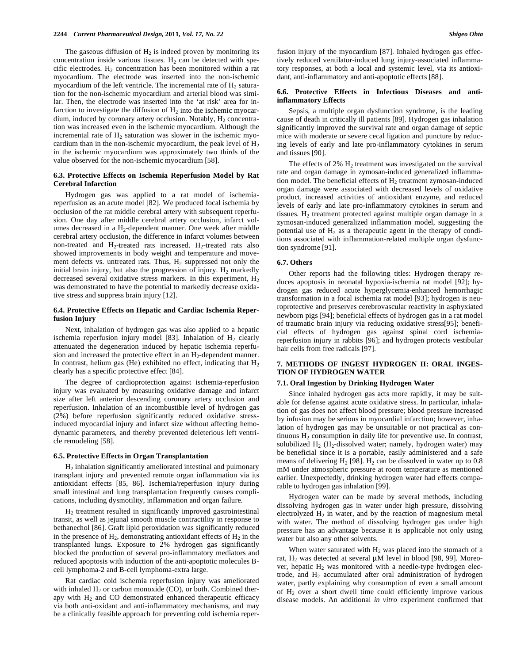The gaseous diffusion of  $H_2$  is indeed proven by monitoring its concentration inside various tissues.  $H_2$  can be detected with specific electrodes.  $H_2$  concentration has been monitored within a rat myocardium. The electrode was inserted into the non-ischemic myocardium of the left ventricle. The incremental rate of  $H_2$  saturation for the non-ischemic myocardium and arterial blood was similar. Then, the electrode was inserted into the 'at risk' area for infarction to investigate the diffusion of  $H_2$  into the ischemic myocardium, induced by coronary artery occlusion. Notably,  $H_2$  concentration was increased even in the ischemic myocardium. Although the incremental rate of  $H_2$  saturation was slower in the ischemic myocardium than in the non-ischemic myocardium, the peak level of  $H<sub>2</sub>$ in the ischemic myocardium was approximately two thirds of the value observed for the non-ischemic myocardium [58].

#### **6.3. Protective Effects on Ischemia Reperfusion Model by Rat Cerebral Infarction**

 Hydrogen gas was applied to a rat model of ischemiareperfusion as an acute model [82]. We produced focal ischemia by occlusion of the rat middle cerebral artery with subsequent reperfusion. One day after middle cerebral artery occlusion, infarct volumes decreased in a H<sub>2</sub>-dependent manner. One week after middle cerebral artery occlusion, the difference in infarct volumes between non-treated and  $H_2$ -treated rats increased.  $H_2$ -treated rats also showed improvements in body weight and temperature and movement defects vs. untreated rats. Thus,  $H_2$  suppressed not only the initial brain injury, but also the progression of injury.  $H_2$  markedly decreased several oxidative stress markers. In this experiment,  $H_2$ was demonstrated to have the potential to markedly decrease oxidative stress and suppress brain injury [12].

## **6.4. Protective Effects on Hepatic and Cardiac Ischemia Reperfusion Injury**

 Next, inhalation of hydrogen gas was also applied to a hepatic ischemia reperfusion injury model [83]. Inhalation of  $H<sub>2</sub>$  clearly attenuated the degeneration induced by hepatic ischemia reperfusion and increased the protective effect in an  $H_2$ -dependent manner. In contrast, helium gas (He) exhibited no effect, indicating that  $H_2$ clearly has a specific protective effect [84].

 The degree of cardioprotection against ischemia-reperfusion injury was evaluated by measuring oxidative damage and infarct size after left anterior descending coronary artery occlusion and reperfusion. Inhalation of an incombustible level of hydrogen gas (2%) before reperfusion significantly reduced oxidative stressinduced myocardial injury and infarct size without affecting hemodynamic parameters, and thereby prevented deleterious left ventricle remodeling [58].

#### **6.5. Protective Effects in Organ Transplantation**

 H2 inhalation significantly ameliorated intestinal and pulmonary transplant injury and prevented remote organ inflammation via its antioxidant effects [85, 86]. Ischemia/reperfusion injury during small intestinal and lung transplantation frequently causes complications, including dysmotility, inflammation and organ failure.

 H2 treatment resulted in significantly improved gastrointestinal transit, as well as jejunal smooth muscle contractility in response to bethanechol [86]. Graft lipid peroxidation was significantly reduced in the presence of  $H_2$ , demonstrating antioxidant effects of  $H_2$  in the transplanted lungs. Exposure to 2% hydrogen gas significantly blocked the production of several pro-inflammatory mediators and reduced apoptosis with induction of the anti-apoptotic molecules Bcell lymphoma-2 and B-cell lymphoma-extra large.

 Rat cardiac cold ischemia reperfusion injury was ameliorated with inhaled  $H_2$  or carbon monoxide (CO), or both. Combined therapy with  $H_2$  and CO demonstrated enhanced therapeutic efficacy via both anti-oxidant and anti-inflammatory mechanisms, and may be a clinically feasible approach for preventing cold ischemia reperfusion injury of the myocardium [87]. Inhaled hydrogen gas effectively reduced ventilator-induced lung injury-associated inflammatory responses, at both a local and systemic level, via its antioxidant, anti-inflammatory and anti-apoptotic effects [88].

## **6.6. Protective Effects in Infectious Diseases and antiinflammatory Effects**

 Sepsis, a multiple organ dysfunction syndrome, is the leading cause of death in critically ill patients [89]. Hydrogen gas inhalation significantly improved the survival rate and organ damage of septic mice with moderate or severe cecal ligation and puncture by reducing levels of early and late pro-inflammatory cytokines in serum and tissues [90].

The effects of  $2\%$  H<sub>2</sub> treatment was investigated on the survival rate and organ damage in zymosan-induced generalized inflammation model. The beneficial effects of  $H_2$  treatment zymosan-induced organ damage were associated with decreased levels of oxidative product, increased activities of antioxidant enzyme, and reduced levels of early and late pro-inflammatory cytokines in serum and tissues.  $H<sub>2</sub>$  treatment protected against multiple organ damage in a zymosan-induced generalized inflammation model, suggesting the potential use of  $H_2$  as a therapeutic agent in the therapy of conditions associated with inflammation-related multiple organ dysfunction syndrome [91].

#### **6.7. Others**

 Other reports had the following titles: Hydrogen therapy reduces apoptosis in neonatal hypoxia-ischemia rat model [92]; hydrogen gas reduced acute hyperglycemia-enhanced hemorrhagic transformation in a focal ischemia rat model [93]; hydrogen is neuroprotective and preserves cerebrovascular reactivity in asphyxiated newborn pigs [94]; beneficial effects of hydrogen gas in a rat model of traumatic brain injury via reducing oxidative stress[95]; beneficial effects of hydrogen gas against spinal cord ischemiareperfusion injury in rabbits [96]; and hydrogen protects vestibular hair cells from free radicals [97].

## **7. METHODS OF INGEST HYDROGEN II: ORAL INGES-TION OF HYDROGEN WATER**

## **7.1. Oral Ingestion by Drinking Hydrogen Water**

 Since inhaled hydrogen gas acts more rapidly, it may be suitable for defense against acute oxidative stress. In particular, inhalation of gas does not affect blood pressure; blood pressure increased by infusion may be serious in myocardial infarction; however, inhalation of hydrogen gas may be unsuitable or not practical as continuous  $H<sub>2</sub>$  consumption in daily life for preventive use. In contrast, solubilized  $H_2$  (H<sub>2</sub>-dissolved water; namely, hydrogen water) may be beneficial since it is a portable, easily administered and a safe means of delivering  $H_2$  [98].  $H_2$  can be dissolved in water up to 0.8 mM under atmospheric pressure at room temperature as mentioned earlier. Unexpectedly, drinking hydrogen water had effects comparable to hydrogen gas inhalation [99].

 Hydrogen water can be made by several methods, including dissolving hydrogen gas in water under high pressure, dissolving electrolyzed  $H_2$  in water, and by the reaction of magnesium metal with water. The method of dissolving hydrogen gas under high pressure has an advantage because it is applicable not only using water but also any other solvents.

When water saturated with  $H_2$  was placed into the stomach of a rat,  $H_2$  was detected at several  $\mu$ M level in blood [98, 99]. Moreover, hepatic  $H_2$  was monitored with a needle-type hydrogen electrode, and  $H_2$  accumulated after oral administration of hydrogen water, partly explaining why consumption of even a small amount of  $H_2$  over a short dwell time could efficiently improve various disease models. An additional *in vitro* experiment confirmed that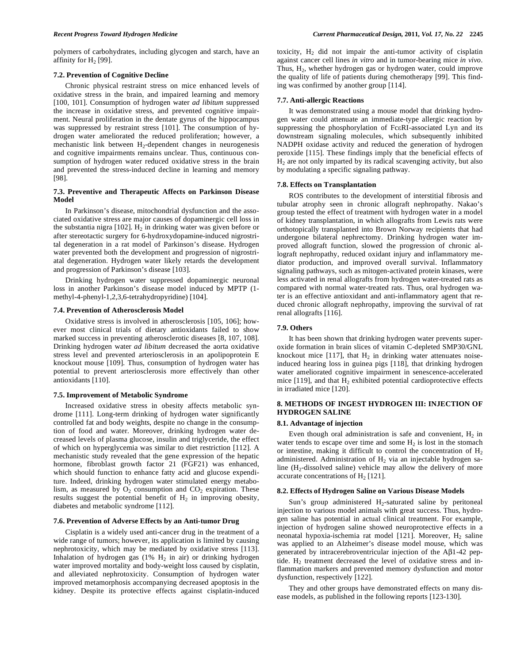polymers of carbohydrates, including glycogen and starch, have an affinity for  $H_2$  [99].

#### **7.2. Prevention of Cognitive Decline**

 Chronic physical restraint stress on mice enhanced levels of oxidative stress in the brain, and impaired learning and memory [100, 101]. Consumption of hydrogen water *ad libitum* suppressed the increase in oxidative stress, and prevented cognitive impairment. Neural proliferation in the dentate gyrus of the hippocampus was suppressed by restraint stress [101]. The consumption of hydrogen water ameliorated the reduced proliferation; however, a mechanistic link between  $H_2$ -dependent changes in neurogenesis and cognitive impairments remains unclear. Thus, continuous consumption of hydrogen water reduced oxidative stress in the brain and prevented the stress-induced decline in learning and memory [98].

## **7.3. Preventive and Therapeutic Affects on Parkinson Disease Model**

 In Parkinson's disease, mitochondrial dysfunction and the associated oxidative stress are major causes of dopaminergic cell loss in the substantia nigra  $[102]$ . H<sub>2</sub> in drinking water was given before or after stereotactic surgery for 6-hydroxydopamine-induced nigrostrital degeneration in a rat model of Parkinson's disease. Hydrogen water prevented both the development and progression of nigrostriatal degeneration. Hydrogen water likely retards the development and progression of Parkinson's disease [103].

 Drinking hydrogen water suppressed dopaminergic neuronal loss in another Parkinson's disease model induced by MPTP (1 methyl-4-phenyl-1,2,3,6-tetrahydropyridine) [104].

#### **7.4. Prevention of Atherosclerosis Model**

 Oxidative stress is involved in atherosclerosis [105, 106]; however most clinical trials of dietary antioxidants failed to show marked success in preventing atherosclerotic diseases [8, 107, 108]. Drinking hydrogen water *ad libitum* decreased the aorta oxidative stress level and prevented arteriosclerosis in an apolipoprotein E knockout mouse [109]. Thus, consumption of hydrogen water has potential to prevent arteriosclerosis more effectively than other antioxidants [110].

#### **7.5. Improvement of Metabolic Syndrome**

 Increased oxidative stress in obesity affects metabolic syndrome [111]. Long-term drinking of hydrogen water significantly controlled fat and body weights, despite no change in the consumption of food and water. Moreover, drinking hydrogen water decreased levels of plasma glucose, insulin and triglyceride, the effect of which on hyperglycemia was similar to diet restriction [112]. A mechanistic study revealed that the gene expression of the hepatic hormone, fibroblast growth factor 21 (FGF21) was enhanced, which should function to enhance fatty acid and glucose expenditure. Indeed, drinking hydrogen water stimulated energy metabolism, as measured by  $O_2$  consumption and  $CO_2$  expiration. These results suggest the potential benefit of  $H_2$  in improving obesity, diabetes and metabolic syndrome [112].

## **7.6. Prevention of Adverse Effects by an Anti-tumor Drug**

 Cisplatin is a widely used anti-cancer drug in the treatment of a wide range of tumors; however, its application is limited by causing nephrotoxicity, which may be mediated by oxidative stress [113]. Inhalation of hydrogen gas  $(1\%$  H<sub>2</sub> in air) or drinking hydrogen water improved mortality and body-weight loss caused by cisplatin, and alleviated nephrotoxicity. Consumption of hydrogen water improved metamorphosis accompanying decreased apoptosis in the kidney. Despite its protective effects against cisplatin-induced toxicity,  $H_2$  did not impair the anti-tumor activity of cisplatin against cancer cell lines *in vitro* and in tumor-bearing mice *in vivo*. Thus,  $H_2$ , whether hydrogen gas or hydrogen water, could improve the quality of life of patients during chemotherapy [99]. This finding was confirmed by another group [114].

#### **7.7. Anti-allergic Reactions**

 It was demonstrated using a mouse model that drinking hydrogen water could attenuate an immediate-type allergic reaction by suppressing the phosphorylation of FcRI-associated Lyn and its downstream signaling molecules, which subsequently inhibited NADPH oxidase activity and reduced the generation of hydrogen peroxide [115]. These findings imply that the beneficial effects of  $H<sub>2</sub>$  are not only imparted by its radical scavenging activity, but also by modulating a specific signaling pathway.

#### **7.8. Effects on Transplantation**

 ROS contributes to the development of interstitial fibrosis and tubular atrophy seen in chronic allograft nephropathy. Nakao's group tested the effect of treatment with hydrogen water in a model of kidney transplantation, in which allografts from Lewis rats were orthotopically transplanted into Brown Norway recipients that had undergone bilateral nephrectomy. Drinking hydrogen water improved allograft function, slowed the progression of chronic allograft nephropathy, reduced oxidant injury and inflammatory mediator production, and improved overall survival. Inflammatory signaling pathways, such as mitogen-activated protein kinases, were less activated in renal allografts from hydrogen water-treated rats as compared with normal water-treated rats. Thus, oral hydrogen water is an effective antioxidant and anti-inflammatory agent that reduced chronic allograft nephropathy, improving the survival of rat renal allografts [116].

## **7.9. Others**

 It has been shown that drinking hydrogen water prevents superoxide formation in brain slices of vitamin C-depleted SMP30/GNL knockout mice [117], that  $H_2$  in drinking water attenuates noiseinduced hearing loss in guinea pigs [118], that drinking hydrogen water ameliorated cognitive impairment in senescence-accelerated mice  $[119]$ , and that  $H_2$  exhibited potential cardioprotective effects in irradiated mice [120].

## **8. METHODS OF INGEST HYDROGEN III: INJECTION OF HYDROGEN SALINE**

#### **8.1. Advantage of injection**

Even though oral administration is safe and convenient,  $H_2$  in water tends to escape over time and some  $H_2$  is lost in the stomach or intestine, making it difficult to control the concentration of  $H_2$ administered. Administration of  $H<sub>2</sub>$  via an injectable hydrogen saline  $(H_2$ -dissolved saline) vehicle may allow the delivery of more accurate concentrations of  $H<sub>2</sub>$  [121].

#### **8.2. Effects of Hydrogen Saline on Various Disease Models**

Sun's group administered  $H_2$ -saturated saline by peritoneal injection to various model animals with great success. Thus, hydrogen saline has potential in actual clinical treatment. For example, injection of hydrogen saline showed neuroprotective effects in a neonatal hypoxia-ischemia rat model [121]. Moreover,  $H_2$  saline was applied to an Alzheimer's disease model mouse, which was generated by intracerebroventricular injection of the  $A\beta1-42$  peptide.  $H_2$  treatment decreased the level of oxidative stress and inflammation markers and prevented memory dysfunction and motor dysfunction, respectively [122].

 They and other groups have demonstrated effects on many disease models, as published in the following reports [123-130].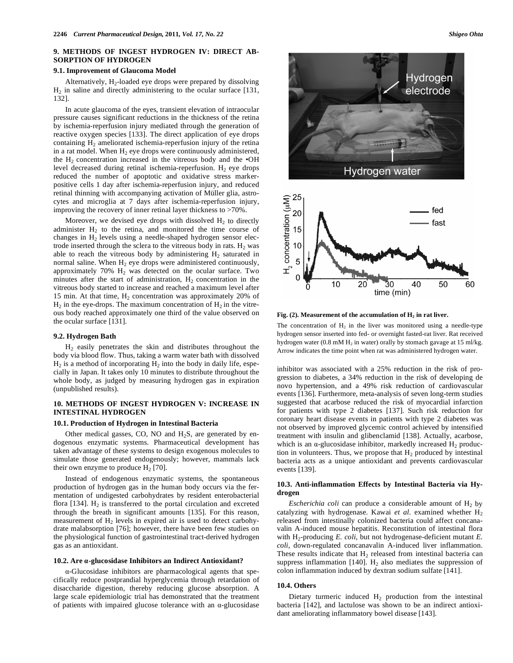## **9. METHODS OF INGEST HYDROGEN IV: DIRECT AB-SORPTION OF HYDROGEN**

#### **9.1. Improvement of Glaucoma Model**

Alternatively,  $H_2$ -loaded eye drops were prepared by dissolving  $H<sub>2</sub>$  in saline and directly administering to the ocular surface [131, 132].

 In acute glaucoma of the eyes, transient elevation of intraocular pressure causes significant reductions in the thickness of the retina by ischemia-reperfusion injury mediated through the generation of reactive oxygen species [133]. The direct application of eye drops containing  $H_2$  ameliorated ischemia-reperfusion injury of the retina in a rat model. When  $H_2$  eye drops were continuously administered, the  $H_2$  concentration increased in the vitreous body and the  $\bullet$ OH level decreased during retinal ischemia-reperfusion.  $H_2$  eye drops reduced the number of apoptotic and oxidative stress markerpositive cells 1 day after ischemia-reperfusion injury, and reduced retinal thinning with accompanying activation of Müller glia, astrocytes and microglia at 7 days after ischemia-reperfusion injury, improving the recovery of inner retinal layer thickness to >70%.

Moreover, we devised eye drops with dissolved  $H_2$  to directly administer  $H_2$  to the retina, and monitored the time course of changes in  $H_2$  levels using a needle-shaped hydrogen sensor electrode inserted through the sclera to the vitreous body in rats.  $H_2$  was able to reach the vitreous body by administering  $H_2$  saturated in normal saline. When  $H_2$  eye drops were administered continuously, approximately  $70\%$   $H_2$  was detected on the ocular surface. Two minutes after the start of administration,  $H_2$  concentration in the vitreous body started to increase and reached a maximum level after 15 min. At that time,  $H_2$  concentration was approximately 20% of  $H_2$  in the eye-drops. The maximum concentration of  $H_2$  in the vitreous body reached approximately one third of the value observed on the ocular surface [131].

## **9.2. Hydrogen Bath**

 H2 easily penetrates the skin and distributes throughout the body via blood flow. Thus, taking a warm water bath with dissolved  $H_2$  is a method of incorporating  $H_2$  into the body in daily life, especially in Japan. It takes only 10 minutes to distribute throughout the whole body, as judged by measuring hydrogen gas in expiration (unpublished results).

## **10. METHODS OF INGEST HYDROGEN V: INCREASE IN INTESTINAL HYDROGEN**

#### **10.1. Production of Hydrogen in Intestinal Bacteria**

Other medical gasses, CO, NO and  $H_2S$ , are generated by endogenous enzymatic systems. Pharmaceutical development has taken advantage of these systems to design exogenous molecules to simulate those generated endogenously; however, mammals lack their own enzyme to produce  $H_2$  [70].

 Instead of endogenous enzymatic systems, the spontaneous production of hydrogen gas in the human body occurs via the fermentation of undigested carbohydrates by resident enterobacterial flora  $[134]$ . H<sub>2</sub> is transferred to the portal circulation and excreted through the breath in significant amounts [135]. For this reason, measurement of  $H_2$  levels in expired air is used to detect carbohydrate malabsorption [76]; however, there have been few studies on the physiological function of gastrointestinal tract-derived hydrogen gas as an antioxidant.

#### **10.2. Are -glucosidase Inhibitors an Indirect Antioxidant?**

-Glucosidase inhibitors are pharmacological agents that specifically reduce postprandial hyperglycemia through retardation of disaccharide digestion, thereby reducing glucose absorption. A large scale epidemiologic trial has demonstrated that the treatment of patients with impaired glucose tolerance with an  $\alpha$ -glucosidase



Fig. (2). Measurement of the accumulation of H<sub>2</sub> in rat liver.

The concentration of  $H_2$  in the liver was monitored using a needle-type hydrogen sensor inserted into fed- or overnight fasted-rat liver. Rat received hydrogen water (0.8 mM  $H_2$  in water) orally by stomach gavage at 15 ml/kg. Arrow indicates the time point when rat was administered hydrogen water.

inhibitor was associated with a 25% reduction in the risk of progression to diabetes, a 34% reduction in the risk of developing de novo hypertension, and a 49% risk reduction of cardiovascular events [136]. Furthermore, meta-analysis of seven long-term studies suggested that acarbose reduced the risk of myocardial infarction for patients with type 2 diabetes [137]. Such risk reduction for coronary heart disease events in patients with type 2 diabetes was not observed by improved glycemic control achieved by intensified treatment with insulin and glibenclamid [138]. Actually, acarbose, which is an  $\alpha$ -glucosidase inhibitor, markedly increased H<sub>2</sub> production in volunteers. Thus, we propose that  $H_2$  produced by intestinal bacteria acts as a unique antioxidant and prevents cardiovascular events [139].

## **10.3. Anti-inflammation Effects by Intestinal Bacteria via Hydrogen**

*Escherichia coli* can produce a considerable amount of  $H_2$  by catalyzing with hydrogenase. Kawai et al. examined whether H<sub>2</sub> released from intestinally colonized bacteria could affect concanavalin A-induced mouse hepatitis. Reconstitution of intestinal flora with H2-producing *E. coli*, but not hydrogenase-deficient mutant *E. coli*, down-regulated concanavalin A-induced liver inflammation. These results indicate that  $H_2$  released from intestinal bacteria can suppress inflammation [140].  $H_2$  also mediates the suppression of colon inflammation induced by dextran sodium sulfate [141].

#### **10.4. Others**

Dietary turmeric induced  $H_2$  production from the intestinal bacteria [142], and lactulose was shown to be an indirect antioxidant ameliorating inflammatory bowel disease [143].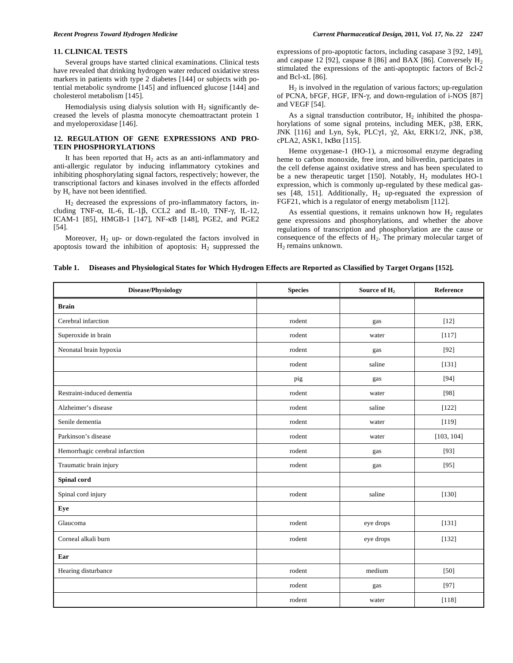## **11. CLINICAL TESTS**

 Several groups have started clinical examinations. Clinical tests have revealed that drinking hydrogen water reduced oxidative stress markers in patients with type 2 diabetes [144] or subjects with potential metabolic syndrome [145] and influenced glucose [144] and cholesterol metabolism [145].

Hemodialysis using dialysis solution with  $H_2$  significantly decreased the levels of plasma monocyte chemoattractant protein 1 and myeloperoxidase [146].

## **12. REGULATION OF GENE EXPRESSIONS AND PRO-TEIN PHOSPHORYLATIONS**

It has been reported that  $H_2$  acts as an anti-inflammatory and anti-allergic regulator by inducing inflammatory cytokines and inhibiting phosphorylating signal factors, respectively; however, the transcriptional factors and kinases involved in the effects afforded by H<sub>c</sub> have not been identified.

 H2 decreased the expressions of pro-inflammatory factors, including TNF- $\alpha$ , IL-6, IL-1 $\beta$ , CCL2 and IL-10, TNF- $\gamma$ , IL-12, ICAM-1 [85], HMGB-1 [147], NF-KB [148], PGE2, and PGE2 [54].

Moreover,  $H_2$  up- or down-regulated the factors involved in apoptosis toward the inhibition of apoptosis:  $H_2$  suppressed the expressions of pro-apoptotic factors, including casapase 3 [92, 149], and caspase 12 [92], caspase 8 [86] and BAX [86]. Conversely  $H_2$ stimulated the expressions of the anti-apoptoptic factors of Bcl-2 and Bcl-xL [86].

 $H<sub>2</sub>$  is involved in the regulation of various factors; up-regulation of PCNA, bFGF, HGF, IFN-γ, and down-regulation of i-NOS [87] and VEGF [54].

As a signal transduction contributor,  $H_2$  inhibited the phospahorylations of some signal proteins, including MEK, p38, ERK, JNK [116] and Lyn, Syk, PLCγ1, γ2, Akt, ERK1/2, JNK, p38, cPLA2, ASK1,  $I \kappa B \alpha$  [115].

 Heme oxygenase-1 (HO-1), a microsomal enzyme degrading heme to carbon monoxide, free iron, and biliverdin, participates in the cell defense against oxidative stress and has been speculated to be a new therapeutic target [150]. Notably,  $H_2$  modulates HO-1 expression, which is commonly up-regulated by these medical gasses [48, 151]. Additionally,  $H_2$  up-reguated the expression of FGF21, which is a regulator of energy metabolism [112].

As essential questions, it remains unknown how  $H_2$  regulates gene expressions and phosphorylations, and whether the above regulations of transcription and phosphorylation are the cause or consequence of the effects of  $H_2$ . The primary molecular target of  $H_2$  remains unknown.

| Table 1. Diseases and Physiological States for Which Hydrogen Effects are Reported as Classified by Target Organs [152]. |  |  |
|--------------------------------------------------------------------------------------------------------------------------|--|--|
|                                                                                                                          |  |  |

| <b>Disease/Physiology</b>       | <b>Species</b> | Source of H <sub>2</sub> | Reference  |
|---------------------------------|----------------|--------------------------|------------|
| <b>Brain</b>                    |                |                          |            |
| Cerebral infarction             | rodent         | gas                      | $[12]$     |
| Superoxide in brain             | rodent         | water                    | [117]      |
| Neonatal brain hypoxia          | rodent         | gas                      | $[92]$     |
|                                 | rodent         | saline                   | [131]      |
|                                 | pig            | gas                      | $[94]$     |
| Restraint-induced dementia      | rodent         | water                    | [98]       |
| Alzheimer's disease             | rodent         | saline                   | [122]      |
| Senile dementia                 | rodent         | water                    | $[119]$    |
| Parkinson's disease             | rodent         | water                    | [103, 104] |
| Hemorrhagic cerebral infarction | rodent         | gas                      | $[93]$     |
| Traumatic brain injury          | rodent         | gas                      | $[95]$     |
| Spinal cord                     |                |                          |            |
| Spinal cord injury              | rodent         | saline                   | [130]      |
| Eye                             |                |                          |            |
| Glaucoma                        | rodent         | eye drops                | [131]      |
| Corneal alkali burn             | rodent         | eye drops                | [132]      |
| Ear                             |                |                          |            |
| Hearing disturbance             | rodent         | medium                   | [50]       |
|                                 | rodent         | gas                      | [97]       |
|                                 | rodent         | water                    | $[118]$    |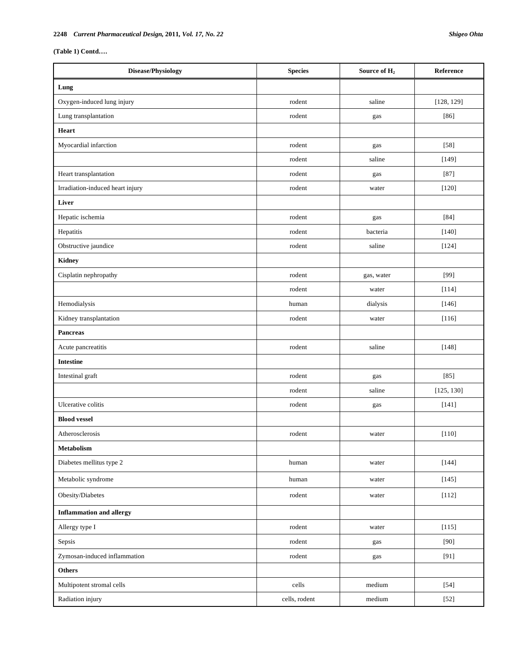**(Table 1) Contd….** 

| Disease/Physiology               | <b>Species</b> | Source of H <sub>2</sub> | Reference  |
|----------------------------------|----------------|--------------------------|------------|
| Lung                             |                |                          |            |
| Oxygen-induced lung injury       | rodent         | saline                   | [128, 129] |
| Lung transplantation             | rodent         | gas                      | $[86]$     |
| Heart                            |                |                          |            |
| Myocardial infarction            | rodent         | gas                      | $[58]$     |
|                                  | rodent         | saline                   | [149]      |
| Heart transplantation            | rodent         | gas                      | $[87]$     |
| Irradiation-induced heart injury | rodent         | water                    | $[120]$    |
| Liver                            |                |                          |            |
| Hepatic ischemia                 | rodent         | gas                      | $[84]$     |
| Hepatitis                        | rodent         | bacteria                 | [140]      |
| Obstructive jaundice             | rodent         | saline                   | [124]      |
| <b>Kidney</b>                    |                |                          |            |
| Cisplatin nephropathy            | rodent         | gas, water               | [99]       |
|                                  | rodent         | water                    | [114]      |
| Hemodialysis                     | human          | dialysis                 | $[146]$    |
| Kidney transplantation           | rodent         | water                    | $[116]$    |
| <b>Pancreas</b>                  |                |                          |            |
| Acute pancreatitis               | rodent         | saline                   | [148]      |
| <b>Intestine</b>                 |                |                          |            |
| Intestinal graft                 | rodent         | gas                      | $[85]$     |
|                                  | rodent         | saline                   | [125, 130] |
| Ulcerative colitis               | rodent         | gas                      | $[141]$    |
| <b>Blood vessel</b>              |                |                          |            |
| Atherosclerosis                  | rodent         | water                    | $[110]$    |
| Metabolism                       |                |                          |            |
| Diabetes mellitus type 2         | human          | water                    | [144]      |
| Metabolic syndrome               | human          | water                    | [145]      |
| Obesity/Diabetes                 | rodent         | water                    | $[112]$    |
| <b>Inflammation and allergy</b>  |                |                          |            |
| Allergy type I                   | rodent         | water                    | [115]      |
| Sepsis                           | rodent         | gas                      | [90]       |
| Zymosan-induced inflammation     | rodent         | gas                      | [91]       |
| <b>Others</b>                    |                |                          |            |
| Multipotent stromal cells        | cells          | medium                   | $[54]$     |
| Radiation injury                 | cells, rodent  | medium                   | $[52]$     |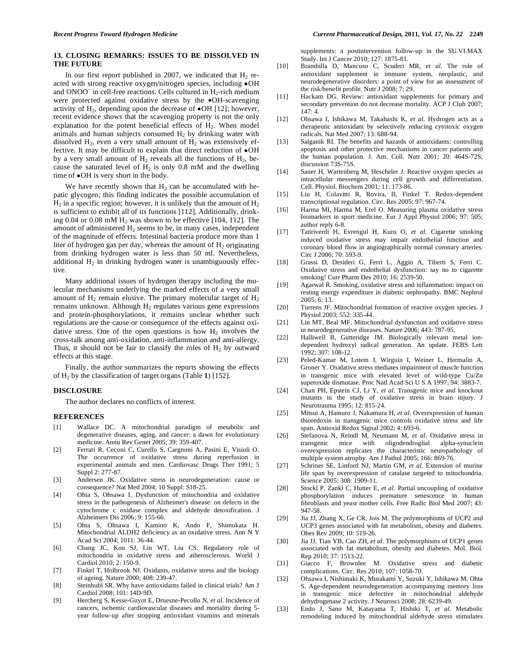## **13. CLOSING REMARKS: ISSUES TO BE DISSOLVED IN THE FUTURE**

In our first report published in 2007, we indicated that  $H_2$  reacted with strong reactive oxygen/nitrogen species, including •OH and ONOO $^-$  in cell-free reactions. Cells cultured in  $H_2$ -rich medium were protected against oxidative stress by the •OH-scavenging activity of  $H_2$ , depending upon the decrease of  $\bullet$ OH [12]; however, recent evidence shows that the scavenging property is not the only explanation for the potent beneficial effects of  $H_2$ . When model animals and human subjects consumed  $H_2$  by drinking water with dissolved  $H_2$ , even a very small amount of  $H_2$  was extensively effective. It may be difficult to explain that direct reduction of •OH by a very small amount of  $H_2$  reveals all the functions of  $H_2$ , because the saturated level of  $H_2$  is only 0.8 mM and the dwelling time of •OH is very short in the body.

We have recently shown that  $H_2$  can be accumulated with hepatic glycogen; this finding indicates the possible accumulation of  $H_2$  in a specific region; however, it is unlikely that the amount of  $H_2$ is sufficient to exhibit all of its functions [112]. Additionally, drinking  $0.04$  or  $0.08$  mM  $H<sub>2</sub>$  was shown to be effective [104, 112]. The amount of administered  $H_2$  seems to be, in many cases, independent of the magnitude of effects. Intestinal bacteria produce more than 1 liter of hydrogen gas per day, whereas the amount of  $H<sub>2</sub>$  originating from drinking hydrogen water is less than 50 ml. Nevertheless, additional  $H_2$  in drinking hydrogen water is unambiguously effective.

 Many additional issues of hydrogen therapy including the molecular mechanisms underlying the marked effects of a very small amount of  $H_2$  remain elusive. The primary molecular target of  $H_2$ remains unknown. Although  $H_2$  regulates various gene expressions and protein-phosphorylations, it remains unclear whether such regulations are the cause or consequence of the effects against oxidative stress. One of the open questions is how  $H_2$  involves the cross-talk among anti-oxidation, anti-inflammation and anti-allergy. Thus, it should not be fair to classify the roles of  $H_2$  by outward effects at this stage.

 Finally, the author summarizes the reports showing the effects of  $H_2$  by the classification of target organs (Table 1) [152].

#### **DISCLOSURE**

The author declares no conflicts of interest.

## **REFERENCES**

- [1] Wallace DC. A mitochondrial paradigm of metabolic and degenerative diseases, aging, and cancer: a dawn for evolutionary medicine. Annu Rev Genet 2005; 39: 359-407.
- [2] Ferrari R, Ceconi C, Curello S, Cargnoni A, Pasini E, Visioli O. The occurrence of oxidative stress during reperfusion in experimental animals and men. Cardiovasc Drugs Ther 1991; 5 Suppl 2: 277-87.
- [3] Andersen JK. Oxidative stress in neurodegeneration: cause or consequence? Nat Med 2004; 10 Suppl: S18-25.
- [4] Ohta S, Ohsawa I. Dysfunction of mitochondria and oxidative stress in the pathogenesis of Alzheimer's disease: on defects in the cytochrome c oxidase complex and aldehyde detoxification. J Alzheimers Dis 2006; 9: 155-66.
- [5] Ohta S, Ohsawa I, Kamino K, Ando F, Shimokata H. Mitochondrial ALDH2 deficiency as an oxidative stress. Ann N Y Acad Sci 2004; 1011: 36-44.
- [6] Chang JC, Kou SJ, Lin WT, Liu CS. Regulatory role of mitochondria in oxidative stress and atherosclerosis. World J Cardiol 2010; 2: 150-9.
- [7] Finkel T, Holbrook NJ. Oxidants, oxidative stress and the biology of ageing. Nature 2000; 408: 239-47.
- [8] Steinhubl SR. Why have antioxidants failed in clinical trials? Am J Cardiol 2008; 101: 14D-9D.
- [9] Hercberg S, Kesse-Guyot E, Druesne-Pecollo N, *et al*. Incidence of cancers, ischemic cardiovascular diseases and mortality during 5 year follow-up after stopping antioxidant vitamins and minerals

supplements: a postintervention follow-up in the SU.VI.MAX Study. Int J Cancer 2010; 127: 1875-81.

- [10] Brambilla D, Mancuso C, Scuderi MR, *et al*. The role of antioxidant supplement in immune system, neoplastic, and neurodegenerative disorders: a point of view for an assessment of the risk/benefit profile. Nutr J 2008; 7: 29.
- [11] Hackam DG. Review: antioxidant supplements for primary and secondary prevention do not decrease mortality. ACP J Club 2007; 147: 4.
- [12] Ohsawa I, Ishikawa M, Takahashi K, *et al*. Hydrogen acts as a therapeutic antioxidant by selectively reducing cytotoxic oxygen radicals. Nat Med 2007; 13: 688-94.
- [13] Salganik RI. The benefits and hazards of antioxidants: controlling apoptosis and other protective mechanisms in cancer patients and the human population. J. Am. Coll. Nutr 2001; 20: 464S-72S; discussion 73S-75S.
- [14] Sauer H, Wartenberg M, Hescheler J. Reactive oxygen species as intracellular messengers during cell growth and differentiation. Cell. Physiol. Biochem 2001; 11: 173-86.
- [15] Liu H, Colavitti R, Rovira, II, Finkel T. Redox-dependent transcriptional regulation. Circ. Res 2005; 97: 967-74.
- [16] Harma MI, Harma M, Erel O. Measuring plasma oxidative stress biomarkers in sport medicine. Eur J Appl Physiol 2006; 97: 505; author reply 6-8.
- [17] Tanriverdi H, Evrengul H, Kuru O, *et al*. Cigarette smoking induced oxidative stress may impair endothelial function and coronary blood flow in angiographically normal coronary arteries. Circ J 2006; 70: 593-9.
- [18] Grassi D, Desideri G, Ferri L, Aggio A, Tiberti S, Ferri C. Oxidative stress and endothelial dysfunction: say no to cigarette smoking! Curr Pharm Des 2010; 16: 2539-50.
- [19] Agarwal R. Smoking, oxidative stress and inflammation: impact on resting energy expenditure in diabetic nephropathy. BMC Nephrol 2005; 6: 13.
- [20] Turrens JF. Mitochondrial formation of reactive oxygen species. J Physiol 2003; 552: 335-44.
- [21] Lin MT, Beal MF. Mitochondrial dysfunction and oxidative stress in neurodegenerative diseases. Nature 2006; 443: 787-95.
- [22] Halliwell B, Gutteridge JM. Biologically relevant metal iondependent hydroxyl radical generation. An update. FEBS Lett 1992; 307: 108-12.
- [23] Peled-Kamar M, Lotem J, Wirguin I, Weiner L, Hermalin A, Groner Y. Oxidative stress mediates impairment of muscle function in transgenic mice with elevated level of wild-type Cu/Zn superoxide dismutase. Proc Natl Acad Sci U S A 1997; 94: 3883-7.
- [24] Chan PH, Epstein CJ, Li Y, *et al*. Transgenic mice and knockout mutants in the study of oxidative stress in brain injury. J Neurotrauma 1995; 12: 815-24.
- [25] Mitsui A, Hamuro J, Nakamura H, *et al*. Overexpression of human thioredoxin in transgenic mice controls oxidative stress and life span. Antioxid Redox Signal 2002; 4: 693-6.
- [26] Stefanova N, Reindl M, Neumann M, *et al*. Oxidative stress in transgenic mice with oligodendroglial alpha-synuclein overexpression replicates the characteristic neuropathology of multiple system atrophy. Am J Pathol 2005; 166: 869-76.
- [27] Schriner SE, Linford NJ, Martin GM, *et al*. Extension of murine life span by overexpression of catalase targeted to mitochondria. Science 2005; 308: 1909-11.
- [28] Stockl P, Zankl C, Hutter E, *et al*. Partial uncoupling of oxidative phosphorylation induces premature senescence in human fibroblasts and yeast mother cells. Free Radic Biol Med 2007; 43: 947-58.
- [29] Jia JJ, Zhang X, Ge CR, Jois M. The polymorphisms of UCP2 and UCP3 genes associated with fat metabolism, obesity and diabetes. Obes Rev 2009; 10: 519-26.
- [30] Jia JJ, Tian YB, Cao ZH, *et al*. The polymorphisms of UCP1 genes associated with fat metabolism, obesity and diabetes. Mol. Biol. Rep 2010; 37: 1513-22.
- [31] Giacco F, Brownlee M. Oxidative stress and diabetic complications. Circ. Res 2010; 107: 1058-70.
- [32] Ohsawa I, Nishimaki K, Murakami Y, Suzuki Y, Ishikawa M, Ohta S. Age-dependent neurodegeneration accompanying memory loss in transgenic mice defective in mitochondrial aldehyde dehydrogenase 2 activity. J Neurosci 2008; 28: 6239-49.
- [33] Endo J, Sano M, Katayama T, Hishiki T, *et al*. Metabolic remodeling induced by mitochondrial aldehyde stress stimulates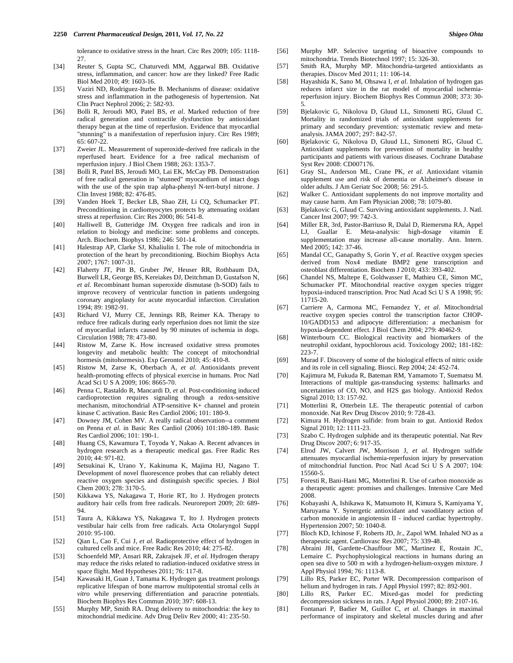tolerance to oxidative stress in the heart. Circ Res 2009; 105: 1118- 27.

- [34] Reuter S, Gupta SC, Chaturvedi MM, Aggarwal BB. Oxidative stress, inflammation, and cancer: how are they linked? Free Radic Biol Med 2010; 49: 1603-16.
- [35] Vaziri ND, Rodriguez-Iturbe B. Mechanisms of disease: oxidative stress and inflammation in the pathogenesis of hypertension. Nat Clin Pract Nephrol 2006; 2: 582-93.
- [36] Bolli R, Jeroudi MO, Patel BS, *et al*. Marked reduction of free radical generation and contractile dysfunction by antioxidant therapy begun at the time of reperfusion. Evidence that myocardial "stunning" is a manifestation of reperfusion injury. Circ Res 1989; 65: 607-22.
- [37] Zweier JL. Measurement of superoxide-derived free radicals in the reperfused heart. Evidence for a free radical mechanism of reperfusion injury. J Biol Chem 1988; 263: 1353-7.
- [38] Bolli R, Patel BS, Jeroudi MO, Lai EK, McCay PB. Demonstration of free radical generation in "stunned" myocardium of intact dogs with the use of the spin trap alpha-phenyl N-tert-butyl nitrone. J Clin Invest 1988; 82: 476-85.
- [39] Vanden Hoek T, Becker LB, Shao ZH, Li CQ, Schumacker PT. Preconditioning in cardiomyocytes protects by attenuating oxidant stress at reperfusion. Circ Res 2000; 86: 541-8.
- [40] Halliwell B, Gutteridge JM. Oxygen free radicals and iron in relation to biology and medicine: some problems and concepts. Arch. Biochem. Biophys 1986; 246: 501-14.
- [41] Halestrap AP, Clarke SJ, Khaliulin I. The role of mitochondria in protection of the heart by preconditioning. Biochim Biophys Acta 2007; 1767: 1007-31.
- [42] Flaherty JT, Pitt B, Gruber JW, Heuser RR, Rothbaum DA, Burwell LR, George BS, Kereiakes DJ, Deitchman D, Gustafson N, *et al*. Recombinant human superoxide dismutase (h-SOD) fails to improve recovery of ventricular function in patients undergoing coronary angioplasty for acute myocardial infarction. Circulation 1994; 89: 1982-91.
- [43] Richard VJ, Murry CE, Jennings RB, Reimer KA. Therapy to reduce free radicals during early reperfusion does not limit the size of myocardial infarcts caused by 90 minutes of ischemia in dogs. Circulation 1988; 78: 473-80.
- [44] Ristow M, Zarse K. How increased oxidative stress promotes longevity and metabolic health: The concept of mitochondrial hormesis (mitohormesis). Exp Gerontol 2010; 45: 410-8.
- [45] Ristow M, Zarse K, Oberbach A, *et al*. Antioxidants prevent health-promoting effects of physical exercise in humans. Proc Natl Acad Sci U S A 2009; 106: 8665-70.
- [46] Penna C, Rastaldo R, Mancardi D, *et al*. Post-conditioning induced cardioprotection requires signaling through a redox-sensitive mechanism, mitochondrial ATP-sensitive K+ channel and protein kinase C activation. Basic Res Cardiol 2006; 101: 180-9.
- [47] Downey JM, Cohen MV. A really radical observation--a comment on Penna *et al*. in Basic Res Cardiol (2006) 101:180-189. Basic Res Cardiol 2006; 101: 190-1.
- [48] Huang CS, Kawamura T, Toyoda Y, Nakao A. Recent advances in hydrogen research as a therapeutic medical gas. Free Radic Res 2010; 44: 971-82.
- [49] Setsukinai K, Urano Y, Kakinuma K, Majima HJ, Nagano T. Development of novel fluorescence probes that can reliably detect reactive oxygen species and distinguish specific species. J Biol Chem 2003; 278: 3170-5.
- [50] Kikkawa YS, Nakagawa T, Horie RT, Ito J. Hydrogen protects auditory hair cells from free radicals. Neuroreport 2009; 20: 689- 94.
- [51] Taura A, Kikkawa YS, Nakagawa T, Ito J. Hydrogen protects vestibular hair cells from free radicals. Acta Otolaryngol Suppl  $2010:95-100$
- [52] Qian L, Cao F, Cui J, *et al*. Radioprotective effect of hydrogen in cultured cells and mice. Free Radic Res 2010; 44: 275-82.
- [53] Schoenfeld MP, Ansari RR, Zakrajsek JF, *et al*. Hydrogen therapy may reduce the risks related to radiation-induced oxidative stress in space flight. Med Hypotheses 2011; 76: 117-8.
- [54] Kawasaki H, Guan J, Tamama K. Hydrogen gas treatment prolongs replicative lifespan of bone marrow multipotential stromal cells *in vitro* while preserving differentiation and paracrine potentials. Biochem Biophys Res Commun 2010; 397: 608-13.
- [55] Murphy MP, Smith RA. Drug delivery to mitochondria: the key to mitochondrial medicine. Adv Drug Deliv Rev 2000; 41: 235-50.
- [56] Murphy MP. Selective targeting of bioactive compounds to mitochondria. Trends Biotechnol 1997; 15: 326-30.
- [57] Smith RA, Murphy MP. Mitochondria-targeted antioxidants as therapies. Discov Med 2011; 11: 106-14.
- [58] Hayashida K, Sano M, Ohsawa I, *et al*. Inhalation of hydrogen gas reduces infarct size in the rat model of myocardial ischemiareperfusion injury. Biochem Biophys Res Commun 2008; 373: 30- 5.
- [59] Bjelakovic G, Nikolova D, Gluud LL, Simonetti RG, Gluud C. Mortality in randomized trials of antioxidant supplements for primary and secondary prevention: systematic review and metaanalysis. JAMA 2007; 297: 842-57.
- [60] Bjelakovic G, Nikolova D, Gluud LL, Simonetti RG, Gluud C. Antioxidant supplements for prevention of mortality in healthy participants and patients with various diseases. Cochrane Database Syst Rev 2008: CD007176.
- [61] Gray SL, Anderson ML, Crane PK, *et al*. Antioxidant vitamin supplement use and risk of dementia or Alzheimer's disease in older adults. J Am Geriatr Soc 2008; 56: 291-5.
- [62] Walker C. Antioxidant supplements do not improve mortality and may cause harm. Am Fam Physician 2008; 78: 1079-80.
- [63] Bjelakovic G, Gluud C. Surviving antioxidant supplements. J. Natl. Cancer Inst 2007; 99: 742-3.
- [64] Miller ER, 3rd, Pastor-Barriuso R, Dalal D, Riemersma RA, Appel LJ, Guallar E. Meta-analysis: high-dosage vitamin E supplementation may increase all-cause mortality. Ann. Intern. Med 2005; 142: 37-46.
- [65] Mandal CC, Ganapathy S, Gorin Y, *et al*. Reactive oxygen species derived from Nox4 mediate BMP2 gene transcription and osteoblast differentiation. Biochem J 2010; 433: 393-402.
- [66] Chandel NS, Maltepe E, Goldwasser E, Mathieu CE, Simon MC, Schumacker PT. Mitochondrial reactive oxygen species trigger hypoxia-induced transcription. Proc Natl Acad Sci U S A 1998; 95: 11715-20.
- [67] Carriere A, Carmona MC, Fernandez Y, *et al*. Mitochondrial reactive oxygen species control the transcription factor CHOP-10/GADD153 and adipocyte differentiation: a mechanism for hypoxia-dependent effect. J Biol Chem 2004; 279: 40462-9.
- [68] Winterbourn CC. Biological reactivity and biomarkers of the neutrophil oxidant, hypochlorous acid. Toxicology 2002; 181-182: 223-7.
- [69] Murad F. Discovery of some of the biological effects of nitric oxide and its role in cell signaling. Biosci. Rep 2004; 24: 452-74.
- [70] Kajimura M, Fukuda R, Bateman RM, Yamamoto T, Suematsu M. Interactions of multiple gas-transducing systems: hallmarks and uncertainties of CO, NO, and H2S gas biology. Antioxid Redox Signal 2010; 13: 157-92.
- [71] Motterlini R, Otterbein LE. The therapeutic potential of carbon monoxide. Nat Rev Drug Discov 2010; 9: 728-43.
- [72] Kimura H. Hydrogen sulfide: from brain to gut. Antioxid Redox Signal 2010; 12: 1111-23.
- [73] Szabo C. Hydrogen sulphide and its therapeutic potential. Nat Rev Drug Discov 2007; 6: 917-35.
- [74] Elrod JW, Calvert JW, Morrison J, *et al*. Hydrogen sulfide attenuates myocardial ischemia-reperfusion injury by preservation of mitochondrial function. Proc Natl Acad Sci U S A 2007; 104: 15560-5.
- [75] Foresti R, Bani-Hani MG, Motterlini R. Use of carbon monoxide as a therapeutic agent: promises and challenges. Intensive Care Med 2008.
- [76] Kobayashi A, Ishikawa K, Matsumoto H, Kimura S, Kamiyama Y, Maruyama Y. Synergetic antioxidant and vasodilatory action of carbon monoxide in angiotensin II - induced cardiac hypertrophy. Hypertension 2007; 50: 1040-8.
- [77] Bloch KD, Ichinose F, Roberts JD, Jr., Zapol WM. Inhaled NO as a therapeutic agent. Cardiovasc Res 2007; 75: 339-48.
- [78] Abraini JH, Gardette-Chauffour MC, Martinez E, Rostain JC, Lemaire C. Psychophysiological reactions in humans during an open sea dive to 500 m with a hydrogen-helium-oxygen mixture. J Appl Physiol 1994; 76: 1113-8.
- [79] Lillo RS, Parker EC, Porter WR. Decompression comparison of helium and hydrogen in rats. J Appl Physiol 1997; 82: 892-901.
- [80] Lillo RS, Parker EC. Mixed-gas model for predicting decompression sickness in rats. J Appl Physiol 2000; 89: 2107-16.
- [81] Fontanari P, Badier M, Guillot C, *et al*. Changes in maximal performance of inspiratory and skeletal muscles during and after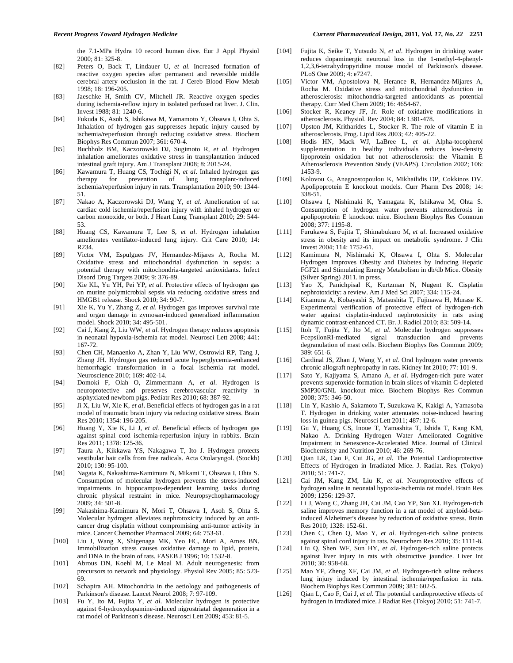the 7.1-MPa Hydra 10 record human dive. Eur J Appl Physiol 2000; 81: 325-8.

- [82] Peters O, Back T, Lindauer U, *et al*. Increased formation of reactive oxygen species after permanent and reversible middle cerebral artery occlusion in the rat. J Cereb Blood Flow Metab 1998; 18: 196-205.
- [83] Jaeschke H, Smith CV, Mitchell JR. Reactive oxygen species during ischemia-reflow injury in isolated perfused rat liver. J. Clin. Invest 1988; 81: 1240-6.
- [84] Fukuda K, Asoh S, Ishikawa M, Yamamoto Y, Ohsawa I, Ohta S. Inhalation of hydrogen gas suppresses hepatic injury caused by ischemia/reperfusion through reducing oxidative stress. Biochem Biophys Res Commun 2007; 361: 670-4.
- [85] Buchholz BM, Kaczorowski DJ, Sugimoto R, *et al*. Hydrogen inhalation ameliorates oxidative stress in transplantation induced intestinal graft injury. Am J Transplant 2008; 8: 2015-24.
- [86] Kawamura T, Huang CS, Tochigi N, *et al*. Inhaled hydrogen gas therapy for prevention of lung transplant-induced ischemia/reperfusion injury in rats. Transplantation 2010; 90: 1344- 51.
- [87] Nakao A, Kaczorowski DJ, Wang Y, *et al*. Amelioration of rat cardiac cold ischemia/reperfusion injury with inhaled hydrogen or carbon monoxide, or both. J Heart Lung Transplant 2010; 29: 544- 53.
- [88] Huang CS, Kawamura T, Lee S, *et al*. Hydrogen inhalation ameliorates ventilator-induced lung injury. Crit Care 2010; 14: R234.
- [89] Victor VM, Espulgues JV, Hernandez-Mijares A, Rocha M. Oxidative stress and mitochondrial dysfunction in sepsis: a potential therapy with mitochondria-targeted antioxidants. Infect Disord Drug Targets 2009; 9: 376-89.
- [90] Xie KL, Yu YH, Pei YP, *et al*. Protective effects of hydrogen gas on murine polymicrobial sepsis via reducing oxidative stress and HMGB1 release. Shock 2010; 34: 90-7.
- [91] Xie K, Yu Y, Zhang Z, *et al*. Hydrogen gas improves survival rate and organ damage in zymosan-induced generalized inflammation model. Shock 2010; 34: 495-501.
- [92] Cai J, Kang Z, Liu WW, *et al*. Hydrogen therapy reduces apoptosis in neonatal hypoxia-ischemia rat model. Neurosci Lett 2008; 441: 167-72.
- [93] Chen CH, Manaenko A, Zhan Y, Liu WW, Ostrowki RP, Tang J, Zhang JH. Hydrogen gas reduced acute hyperglycemia-enhanced hemorrhagic transformation in a focal ischemia rat model. Neuroscience 2010; 169: 402-14.
- [94] Domoki F, Olah O, Zimmermann A, *et al*. Hydrogen is neuroprotective and preserves cerebrovascular reactivity in asphyxiated newborn pigs. Pediatr Res 2010; 68: 387-92.
- [95] Ji X, Liu W, Xie K, *et al*. Beneficial effects of hydrogen gas in a rat model of traumatic brain injury via reducing oxidative stress. Brain Res 2010; 1354: 196-205.
- [96] Huang Y, Xie K, Li J, *et al*. Beneficial effects of hydrogen gas against spinal cord ischemia-reperfusion injury in rabbits. Brain Res 2011; 1378: 125-36.
- [97] Taura A, Kikkawa YS, Nakagawa T, Ito J. Hydrogen protects vestibular hair cells from free radicals. Acta Otolaryngol. (Stockh) 2010; 130: 95-100.
- [98] Nagata K, Nakashima-Kamimura N, Mikami T, Ohsawa I, Ohta S. Consumption of molecular hydrogen prevents the stress-induced impairments in hippocampus-dependent learning tasks during chronic physical restraint in mice. Neuropsychopharmacology 2009; 34: 501-8.
- [99] Nakashima-Kamimura N, Mori T, Ohsawa I, Asoh S, Ohta S. Molecular hydrogen alleviates nephrotoxicity induced by an anticancer drug cisplatin without compromising anti-tumor activity in mice. Cancer Chemother Pharmacol 2009; 64: 753-61.
- [100] Liu J, Wang X, Shigenaga MK, Yeo HC, Mori A, Ames BN. Immobilization stress causes oxidative damage to lipid, protein, and DNA in the brain of rats. FASEB J 1996; 10: 1532-8.
- [101] Abrous DN, Koehl M, Le Moal M. Adult neurogenesis: from precursors to network and physiology. Physiol Rev 2005; 85: 523- 69.
- [102] Schapira AH. Mitochondria in the aetiology and pathogenesis of Parkinson's disease. Lancet Neurol 2008; 7: 97-109.
- [103] Fu Y, Ito M, Fujita Y, *et al*. Molecular hydrogen is protective against 6-hydroxydopamine-induced nigrostriatal degeneration in a rat model of Parkinson's disease. Neurosci Lett 2009; 453: 81-5.
- [104] Fujita K, Seike T, Yutsudo N, *et al*. Hydrogen in drinking water reduces dopaminergic neuronal loss in the 1-methyl-4-phenyl-1,2,3,6-tetrahydropyridine mouse model of Parkinson's disease. PLoS One 2009; 4: e7247.
- [105] Victor VM, Apostolova N, Herance R, Hernandez-Mijares A, Rocha M. Oxidative stress and mitochondrial dysfunction in atherosclerosis: mitochondria-targeted antioxidants as potential therapy. Curr Med Chem 2009; 16: 4654-67.
- [106] Stocker R, Keaney JF, Jr. Role of oxidative modifications in atherosclerosis. Physiol. Rev 2004; 84: 1381-478.
- [107] Upston JM, Kritharides L, Stocker R. The role of vitamin E in atherosclerosis. Prog. Lipid Res 2003; 42: 405-22.
- [108] Hodis HN, Mack WJ, LaBree L, *et al*. Alpha-tocopherol supplementation in healthy individuals reduces low-density lipoprotein oxidation but not atherosclerosis: the Vitamin E Atherosclerosis Prevention Study (VEAPS). Circulation 2002; 106: 1453-9.
- [109] Kolovou G, Anagnostopoulou K, Mikhailidis DP, Cokkinos DV. Apolipoprotein E knockout models. Curr Pharm Des 2008; 14: 338-51.
- [110] Ohsawa I, Nishimaki K, Yamagata K, Ishikawa M, Ohta S. Consumption of hydrogen water prevents atherosclerosis in apolipoprotein E knockout mice. Biochem Biophys Res Commun 2008; 377: 1195-8.
- [111] Furukawa S, Fujita T, Shimabukuro M, *et al*. Increased oxidative stress in obesity and its impact on metabolic syndrome. J Clin Invest 2004; 114: 1752-61.
- [112] Kamimura N, Nishimaki K, Ohsawa I, Ohta S. Molecular Hydrogen Improves Obesity and Diabetes by Inducing Hepatic FGF21 and Stimulating Energy Metabolism in db/db Mice. Obesity (Silver Spring) 2011. in press.
- [113] Yao X, Panichpisal K, Kurtzman N, Nugent K. Cisplatin nephrotoxicity: a review. Am J Med Sci 2007; 334: 115-24.
- [114] Kitamura A, Kobayashi S, Matsushita T, Fujinawa H, Murase K. Experimental verification of protective effect of hydrogen-rich water against cisplatin-induced nephrotoxicity in rats using dynamic contrast-enhanced CT. Br. J. Radiol 2010; 83: 509-14.
- [115] Itoh T, Fujita Y, Ito M, *et al*. Molecular hydrogen suppresses FcepsilonRI-mediated signal transduction and prevents degranulation of mast cells. Biochem Biophys Res Commun 2009; 389: 651-6.
- [116] Cardinal JS, Zhan J, Wang Y, *et al*. Oral hydrogen water prevents chronic allograft nephropathy in rats. Kidney Int 2010; 77: 101-9.
- [117] Sato Y, Kajiyama S, Amano A, *et al*. Hydrogen-rich pure water prevents superoxide formation in brain slices of vitamin C-depleted SMP30/GNL knockout mice. Biochem Biophys Res Commun 2008; 375: 346-50.
- [118] Lin Y, Kashio A, Sakamoto T, Suzukawa K, Kakigi A, Yamasoba T. Hydrogen in drinking water attenuates noise-induced hearing loss in guinea pigs. Neurosci Lett 2011; 487: 12-6.
- [119] Gu Y, Huang CS, Inoue T, Yamashita T, Ishida T, Kang KM, Nakao A. Drinking Hydrogen Water Ameliorated Cognitive Impairment in Senescence-Accelerated Mice. Journal of Clinical Biochemistry and Nutrition 2010; 46: 269-76.
- [120] Qian LR, Cao F, Cui JG, *et al*. The Potential Cardioprotective Effects of Hydrogen in Irradiated Mice. J. Radiat. Res. (Tokyo) 2010; 51: 741-7.
- [121] Cai JM, Kang ZM, Liu K, *et al*. Neuroprotective effects of hydrogen saline in neonatal hypoxia-ischemia rat model. Brain Res 2009; 1256: 129-37.
- [122] Li J, Wang C, Zhang JH, Cai JM, Cao YP, Sun XJ. Hydrogen-rich saline improves memory function in a rat model of amyloid-betainduced Alzheimer's disease by reduction of oxidative stress. Brain Res 2010; 1328: 152-61.
- [123] Chen C, Chen Q, Mao Y, *et al*. Hydrogen-rich saline protects against spinal cord injury in rats. Neurochem Res 2010; 35: 1111-8.
- [124] Liu Q, Shen WF, Sun HY, *et al*. Hydrogen-rich saline protects against liver injury in rats with obstructive jaundice. Liver Int 2010; 30: 958-68.
- [125] Mao YF, Zheng XF, Cai JM, *et al*. Hydrogen-rich saline reduces lung injury induced by intestinal ischemia/reperfusion in rats. Biochem Biophys Res Commun 2009; 381: 602-5.
- [126] Qian L, Cao F, Cui J, *et al*. The potential cardioprotective effects of hydrogen in irradiated mice. J Radiat Res (Tokyo) 2010; 51: 741-7.